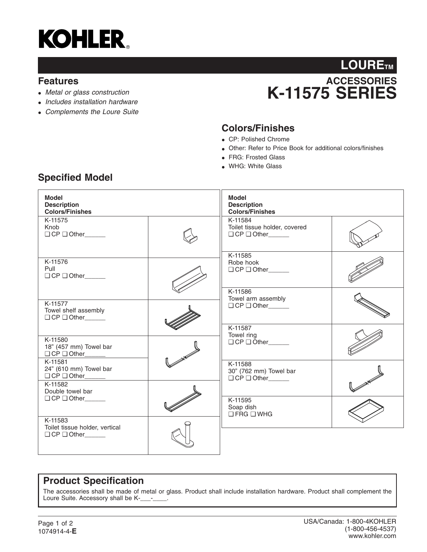

#### **Features**

- *Metal or glass construction*
- *Includes installation hardware*
- *Complements the Loure Suite*

# **ACCESSORIES K-11575 SERIES** LOURE<sub>TM</sub>

## **Colors/Finishes**

- CP: Polished Chrome
- Other: Refer to Price Book for additional colors/finishes
- FRG: Frosted Glass
- WHG: White Glass

| <b>Model</b><br><b>Description</b><br><b>Colors/Finishes</b>                               |  | <b>Model</b><br><b>Description</b><br><b>Colors/Finishes</b>   |  |
|--------------------------------------------------------------------------------------------|--|----------------------------------------------------------------|--|
| K-11575<br>Knob<br>$\Box$ CP $\Box$ Other                                                  |  | K-11584<br>Toilet tissue holder, covered<br>O CP O Other       |  |
| K-11576<br>Pull<br>$\Box$ CP $\Box$ Other                                                  |  | K-11585<br>Robe hook<br>O CP O Other_____                      |  |
| K-11577<br>Towel shelf assembly<br>O CP O Other                                            |  | K-11586<br>Towel arm assembly<br>$\Box$ CP $\Box$ Other_______ |  |
| K-11580<br>18" (457 mm) Towel bar<br>□ CP □ Other_____                                     |  | K-11587<br>Towel ring<br>$\Box$ CP $\Box$ Other                |  |
| K-11581<br>24" (610 mm) Towel bar<br>$\Box$ CP $\Box$ Other<br>K-11582<br>Double towel bar |  | K-11588<br>30" (762 mm) Towel bar<br>$\Box$ CP $\Box$ Other    |  |
| $\Box$ CP $\Box$ Other<br>K-11583                                                          |  | K-11595<br>Soap dish<br>$\Box$ FRG $\Box$ WHG                  |  |
| Toilet tissue holder, vertical<br>$\Box$ CP $\Box$ Other______                             |  |                                                                |  |

### **Product Specification**

The accessories shall be made of metal or glass. Product shall include installation hardware. Product shall complement the Loure Suite. Accessory shall be K-\_\_\_-\_\_\_.

## **Specified Model**